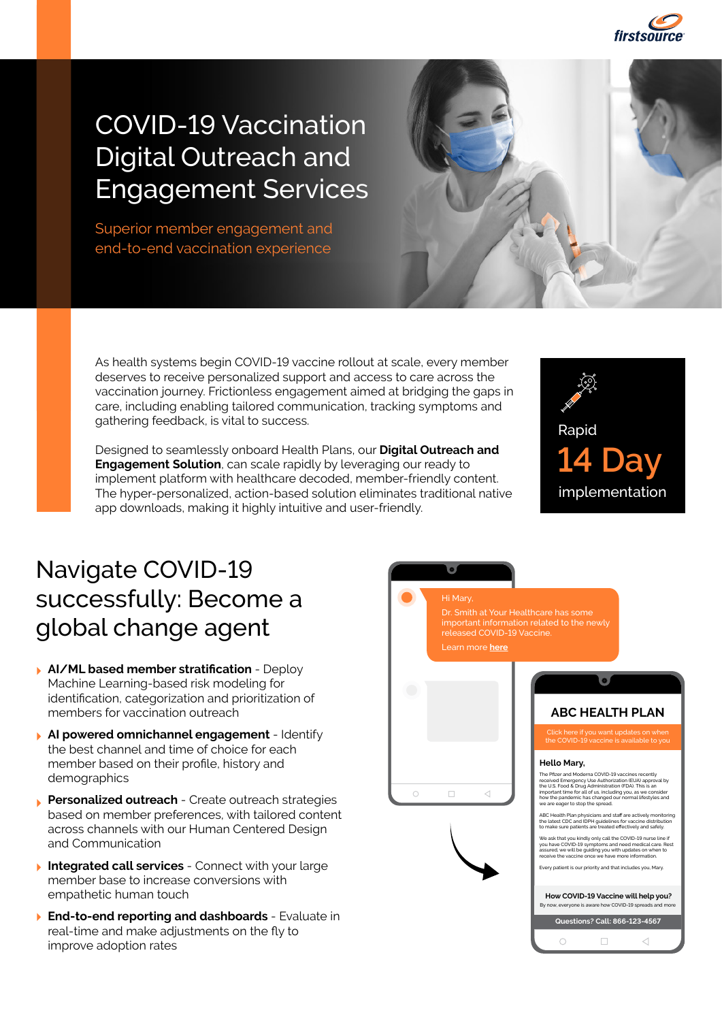

## COVID-19 Vaccination Digital Outreach and Engagement Services

Superior member engagement and end-to-end vaccination experience



Designed to seamlessly onboard Health Plans, our **Digital Outreach and Engagement Solution**, can scale rapidly by leveraging our ready to implement platform with healthcare decoded, member-friendly content. The hyper-personalized, action-based solution eliminates traditional native app downloads, making it highly intuitive and user-friendly.



## Navigate COVID-19 successfully: Become a global change agent

- **AI/ML based member stratification** Deploy Machine Learning-based risk modeling for identification, categorization and prioritization of members for vaccination outreach
- **AI powered omnichannel engagement** Identify the best channel and time of choice for each member based on their profile, history and demographics
- **Personalized outreach** Create outreach strategies based on member preferences, with tailored content across channels with our Human Centered Design and Communication
- **Integrated call services** Connect with your large member base to increase conversions with empathetic human touch
- **End-to-end reporting and dashboards** Evaluate in real-time and make adjustments on the fly to improve adoption rates